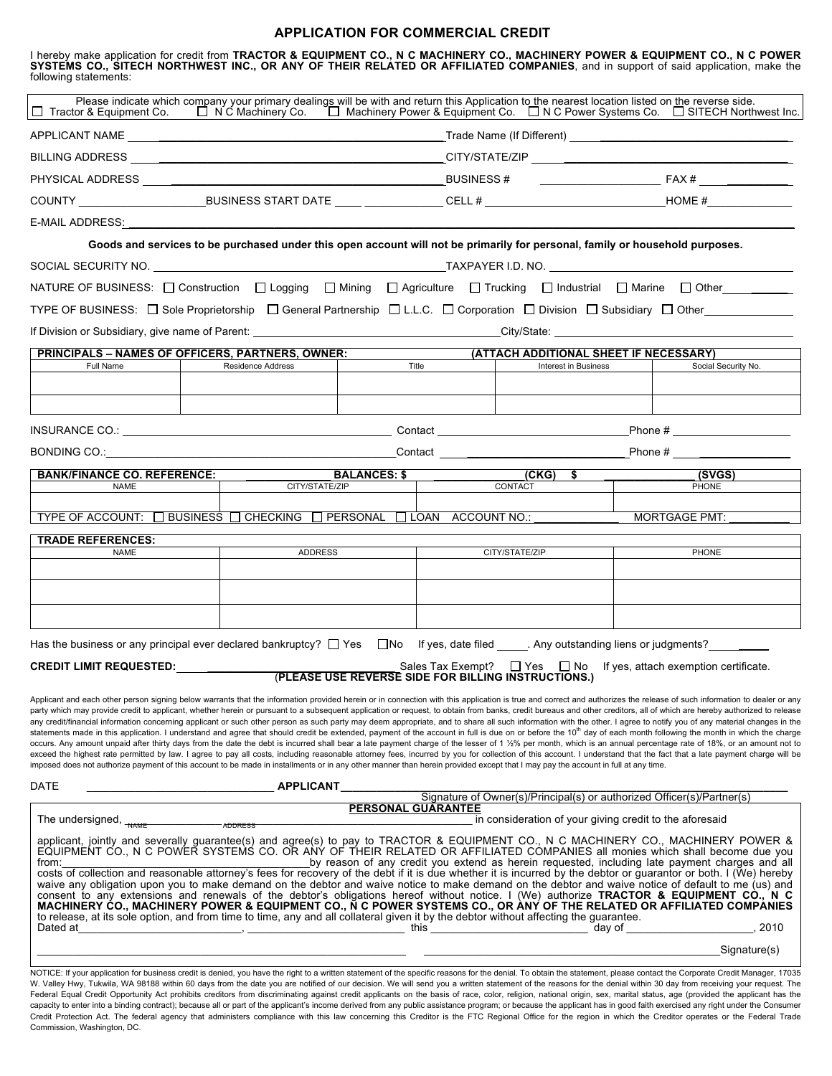## **APPLICATION FOR COMMERCIAL CREDIT**

I hereby make application for credit from **TRACTOR & EQUIPMENT CO., N C MACHINERY CO., MACHINERY POWER & EQUIPMENT CO., N C POWER SYSTEMS CO., SITECH NORTHWEST INC., OR ANY OF THEIR RELATED OR AFFILIATED COMPANIES**, and in support of said application, make the following statements: Please indicate which company your primary dealings will be with and return this Application to the nearest location listed on the reverse side. Tractor & Equipment Co. N C Machinery Co. Machinery Power & Equipment Co. N C Power Systems Co. SITECH Northwest Inc. APPLICANT NAME **ARE A LIMIT CONTINUE A** LIMIT CALL TRACE NAME (If Different)  $\Box$ BILLING ADDRESS \_\_\_\_\_\_\_\_\_\_\_\_\_\_\_\_\_\_\_\_\_\_\_\_\_\_\_\_\_\_\_\_\_\_\_\_\_\_\_\_\_\_\_\_\_\_\_ CITY/STATE/ZIP \_\_\_\_\_\_\_\_\_\_\_\_\_\_\_\_\_\_\_\_\_\_\_\_\_\_\_\_\_\_\_\_\_\_\_\_\_ PHYSICAL ADDRESS \_\_\_\_\_\_\_\_\_\_\_\_\_\_\_\_\_\_\_\_\_\_\_\_\_\_\_\_\_\_\_\_\_\_\_\_\_\_\_\_\_\_\_\_\_ BUSINESS # \_\_\_\_\_\_\_\_\_\_\_\_\_\_\_\_\_\_\_\_ FAX # \_\_\_\_\_\_\_\_\_\_ COUNTY \_\_\_\_\_\_\_\_\_\_\_\_\_\_\_\_\_\_\_\_\_BUSINESS START DATE \_\_\_\_\_\_\_\_\_\_\_\_\_ CELL # \_\_\_\_\_\_\_\_\_\_\_\_\_\_\_\_\_\_\_\_\_\_\_\_ HOME #\_\_\_\_\_\_\_\_\_\_\_\_\_\_ E-MAIL ADDRESS: **Goods and services to be purchased under this open account will not be primarily for personal, family or household purposes.** SOCIAL SECURITY NO. ZO ANNOUNCED A LOS AND TAXPAYER I.D. NO. ZO ANNOUNCED A LOS AND TAXPAYER I.D. NO. NATURE OF BUSINESS:  $\Box$  Construction  $\Box$  Logging  $\Box$  Mining  $\Box$  Agriculture  $\Box$  Trucking  $\Box$  Industrial  $\Box$  Marine  $\Box$  Other TYPE OF BUSINESS:  $\Box$  Sole Proprietorship  $\Box$  General Partnership  $\Box$  L.L.C.  $\Box$  Corporation  $\Box$  Division  $\Box$  Subsidiary  $\Box$  Other If Division or Subsidiary, give name of Parent: **Example 20** is a set of parent of  $\blacksquare$  city/State: **PRINCIPALS – NAMES OF OFFICERS, PARTNERS, OWNER:**<br>
Full Name **Prince and Finance Address** (**ATTACH ADDITIONAL SHEET IF NECESSARY**)<br>
Full Name **Prince Address** (and the finance and the social Security No. Full Name **Residence Address Following Title Conserve** Title Interest in Business Number of Social Security No. INSURANCE CO.: \_\_\_\_\_\_\_\_\_\_\_\_\_\_\_\_\_\_\_\_\_\_\_\_\_\_\_\_\_\_\_\_\_\_\_\_\_\_\_\_ Contact \_\_\_\_\_\_\_\_\_\_\_\_\_\_\_\_\_\_\_\_\_\_\_\_\_\_ Phone # \_\_\_\_\_\_\_\_\_\_\_\_\_\_\_ BONDING CO.:\_\_\_\_\_\_\_\_\_\_\_\_\_\_\_\_\_\_\_\_\_\_\_\_\_\_\_\_\_\_\_\_\_\_\_\_\_\_\_\_\_\_\_\_\_\_\_\_Contact \_\_\_\_\_\_\_\_\_\_\_\_\_\_\_\_\_\_\_\_\_\_\_\_\_\_ Phone # \_\_\_\_\_\_\_\_\_\_\_\_\_\_\_ **BANK/FINANCE CO. REFERENCE:** \_\_\_\_\_\_\_\_\_\_\_\_\_\_ **BALANCES: \$** \_\_\_\_\_\_\_\_\_\_\_\_\_\_\_**(CKG) \$ \_\_\_\_\_\_\_\_\_\_\_\_\_\_\_ (SVGS)** NAME CITY/STATE/ZIP CONTACT PHONE TYPE OF ACCOUNT:  $\Box$  BUSINESS  $\Box$  CHECKING  $\Box$  PERSONAL  $\Box$  LOAN ACCOUNT NO.: \_\_\_\_\_\_\_\_\_\_\_\_\_\_\_\_\_\_\_\_\_\_\_\_MORTGAGE PMT: **TRADE REFERENCES:** NAME ADDRESS ADDRESS CITY/STATE/ZIP PHONE Has the business or any principal ever declared bankruptcy?  $\Box$  Yes  $\Box$  No If yes, date filed . Any outstanding liens or judgments? **CREDIT LIMIT REQUESTED:** \_\_\_\_\_\_\_\_\_\_\_\_\_\_\_\_\_\_\_\_\_\_\_\_\_\_\_\_\_\_\_ Sales Tax Exempt? Yes No If yes, attach exemption certificate. (**PLEASE USE REVERSE SIDE FOR BILLING INSTRUCTIONS.)** Applicant and each other person signing below warrants that the information provided herein or in connection with this application is true and correct and authorizes the release of such information to dealer or any party which may provide credit to applicant, whether herein or pursuant to a subsequent application or request, to obtain from banks, credit bureaus and other creditors, all of which are hereby authorized to release any credit/financial information concerning applicant or such other person as such party may deem appropriate, and to share all such information with the other. I agree to notify you of any material changes in the statements made in this application. I understand and agree that should credit be extended, payment of the account in full is due on or before the 10<sup>th</sup> day of each month following the month in which the charge occurs. Any amount unpaid after thirty days from the date the debt is incurred shall bear a late payment charge of the lesser of 1 1/2% per month, which is an annual percentage rate of 18%, or an amount not to exceed the highest rate permitted by law. I agree to pay all costs, including reasonable attorney fees, incurred by you for collection of this account. I understand that the fact that a late payment charge will be imposed does not authorize payment of this account to be made in installments or in any other manner than herein provided except that I may pay the account in full at any time. DATE \_\_\_\_\_\_\_\_\_\_\_\_\_\_\_\_\_\_\_\_\_\_\_\_\_\_\_\_\_\_\_ **APPLICANT\_\_\_\_\_\_\_\_\_\_\_\_\_\_\_\_\_\_\_\_\_\_\_\_\_\_\_\_\_\_\_\_\_\_\_\_\_\_\_\_\_\_\_\_\_\_\_\_\_\_\_\_\_\_\_\_\_\_\_\_\_\_\_\_\_\_\_\_\_\_\_\_\_\_** Signature of Owner(s)/Principal(s) or authorized Officer(s)/Partner(s) **PERSONAL GUARANTEE** The undersigned, \_\_\_\_\_\_\_\_\_\_\_\_\_\_\_\_ \_\_\_\_\_\_\_\_\_\_\_\_\_\_\_\_\_\_\_\_\_\_\_\_\_\_\_\_\_\_\_\_\_\_\_\_\_\_\_\_\_ in consideration of your giving credit to the aforesaid ADDRESS ADDRESS AND TRAME ADDRESS ADDRESS AND ADDRESS AND TRACTOR & EQUIPMENT CO., N C MACHINERY CO., MACHINERY POWER & EQUIPMENT CO., N C POWER SYSTEMS CO. OR ANY OF THEIR RELATED OR AFFILIATED COMPANIES all monies which shall become due you from:\_\_\_\_\_\_\_\_\_\_\_\_\_\_\_\_\_\_\_\_\_\_\_\_\_\_\_\_\_\_\_\_\_\_\_\_\_\_\_\_\_by reason of any credit you extend as herein requested, including late payment charges and all costs of collection and reasonable attorney's fees for recovery of the debt if it is due whether it is incurred by the debtor or guarantor or both. I (We) hereby waive any obligation upon you to make demand on the debtor and waive notice to make demand on the debtor and waive notice of default to me (us) and<br>consent\_to\_any\_extensions\_and\_renewals\_of\_the\_debtor's\_obligations\_hereof\_ to release, at its sole option, and from time to time, any and all collateral given it by the debtor without affecting the guarantee.<br>Dated at day of day of Dated at the sum of the set of the set of the set of the set of the set of the set of the set of the set of the set of the set of the set of the set of the set of the set of the set of the set of the set of the set of the  $\Box$  . Signature(s)  $\Box$  . The contract of the contract of the contract of the contract of the contract of the contract of the contract of the contract of the contract of the contract of the contract of the contract of th

NOTICE: If your application for business credit is denied, you have the right to a written statement of the specific reasons for the denial. To obtain the statement, please contact the Corporate Credit Manager, 17035 W. Valley Hwy, Tukwila, WA 98188 within 60 days from the date you are notified of our decision. We will send you a written statement of the reasons for the denial within 30 day from receiving your request. The Federal Equal Credit Opportunity Act prohibits creditors from discriminating against credit applicants on the basis of race, color, religion, national origin, sex, marital status, age (provided the applicant has the capacity to enter into a binding contract); because all or part of the applicant's income derived from any public assistance program; or because the applicant has in good faith exercised any right under the Consumer Credit Protection Act. The federal agency that administers compliance with this law concerning this Creditor is the FTC Regional Office for the region in which the Creditor operates or the Federal Trade Commission, Washington, DC.